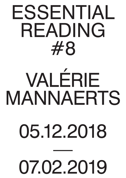## ESSENTIAL READING #8

# VALÉRIE MANNAERTS

### 05.12.2018

### — 07.02.2019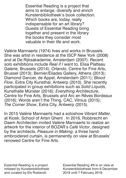Essential Reading is a project that aims to enlarge, diversify and enrich Kunstenbibliotheek's book collection. Which books are, today, really indispensable for an art library? Guests of Essential Reading bring together and present in the library the books they consider most valuable in their life and work.

Valérie Mannaerts (1974) lives and works in Brussels. She was artist in residence at the ISCP New York (2008) and at De Rijksakademie, Amsterdam (2007). Recent solo exhibitions include *Real if I* want to, Elisa Platteau Galerie, Brussels (2014); *Orlando*, Centre for Fine Arts, Brussel (2013); Bernier/Eliades Gallery, Athens (2013); Diamond Dancer, de Appel, Amsterdam (2011); *Blood Flow*, Extra City Kunsthal, Antwerp (2010). She recently participated in group exhibitions such as *Solid Liquids*, Kunsthalle Münster (2016); *Everything Architecture*, Centre for Fine Arts, Brussels and Arc en Rêves Bordeaux (2016); Words aren't the Thing, CAC, Vilnius (2015); *The Corner Show*, Extra City, Antwerp (2015).

In 2015 Valérie Mannaerts had a soloshow *Vibrant Matter*, at Kiosk, School of Artsn Ghent . In 2016, Robbrecht en Daem Architecten invited Valérie Mannaerts to realize an artwork for the interior of BOZAR's *Café Victor*, designed by the architects. *Pleasure in Making*, a three hand-

#### embroidered curtain, is permanently on view at Brussels' renowed Centre for Fine Arts.

Essential Reading is a project initiated by Kunstenbibliotheek and curated by Els Roelandt.

Essential Reading #8 is on view at Kunstenbibliotheek from 6 December 2018 until 7 February 2019.